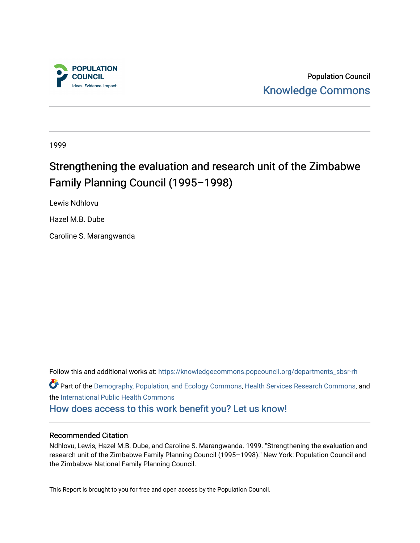

Population Council [Knowledge Commons](https://knowledgecommons.popcouncil.org/) 

1999

# Strengthening the evaluation and research unit of the Zimbabwe Family Planning Council (1995–1998)

Lewis Ndhlovu

Hazel M.B. Dube

Caroline S. Marangwanda

Follow this and additional works at: [https://knowledgecommons.popcouncil.org/departments\\_sbsr-rh](https://knowledgecommons.popcouncil.org/departments_sbsr-rh?utm_source=knowledgecommons.popcouncil.org%2Fdepartments_sbsr-rh%2F1874&utm_medium=PDF&utm_campaign=PDFCoverPages)  Part of the [Demography, Population, and Ecology Commons,](https://network.bepress.com/hgg/discipline/418?utm_source=knowledgecommons.popcouncil.org%2Fdepartments_sbsr-rh%2F1874&utm_medium=PDF&utm_campaign=PDFCoverPages) [Health Services Research Commons,](https://network.bepress.com/hgg/discipline/816?utm_source=knowledgecommons.popcouncil.org%2Fdepartments_sbsr-rh%2F1874&utm_medium=PDF&utm_campaign=PDFCoverPages) and the [International Public Health Commons](https://network.bepress.com/hgg/discipline/746?utm_source=knowledgecommons.popcouncil.org%2Fdepartments_sbsr-rh%2F1874&utm_medium=PDF&utm_campaign=PDFCoverPages)  [How does access to this work benefit you? Let us know!](https://pcouncil.wufoo.com/forms/open-access-to-population-council-research/)

#### Recommended Citation

Ndhlovu, Lewis, Hazel M.B. Dube, and Caroline S. Marangwanda. 1999. "Strengthening the evaluation and research unit of the Zimbabwe Family Planning Council (1995–1998)." New York: Population Council and the Zimbabwe National Family Planning Council.

This Report is brought to you for free and open access by the Population Council.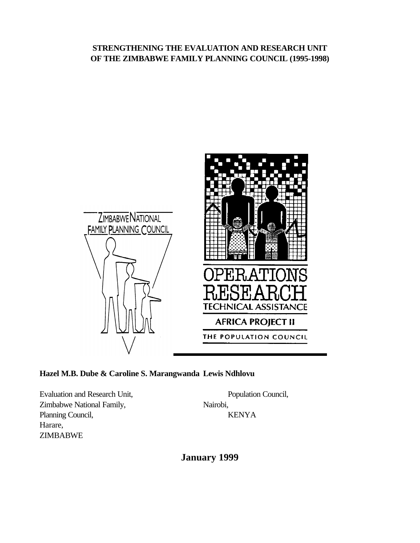### **STRENGTHENING THE EVALUATION AND RESEARCH UNIT OF THE ZIMBABWE FAMILY PLANNING COUNCIL (1995-1998)**



# **Hazel M.B. Dube & Caroline S. Marangwanda Lewis Ndhlovu**

Evaluation and Research Unit, Population Council, Zimbabwe National Family, Nairobi, Planning Council, KENYA Harare, ZIMBABWE

**January 1999**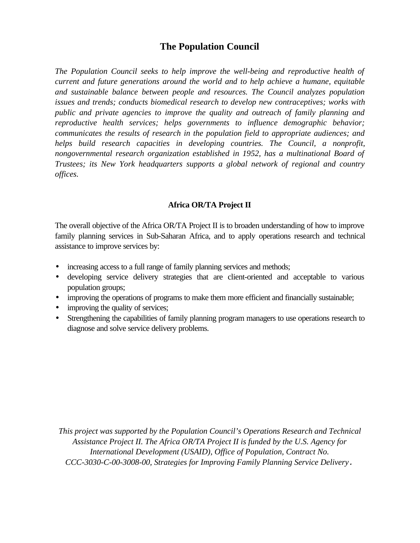# **The Population Council**

*The Population Council seeks to help improve the well-being and reproductive health of current and future generations around the world and to help achieve a humane, equitable and sustainable balance between people and resources. The Council analyzes population issues and trends; conducts biomedical research to develop new contraceptives; works with public and private agencies to improve the quality and outreach of family planning and reproductive health services; helps governments to influence demographic behavior; communicates the results of research in the population field to appropriate audiences; and helps build research capacities in developing countries. The Council, a nonprofit, nongovernmental research organization established in 1952, has a multinational Board of Trustees; its New York headquarters supports a global network of regional and country offices.*

#### **Africa OR/TA Project II**

The overall objective of the Africa OR/TA Project II is to broaden understanding of how to improve family planning services in Sub-Saharan Africa, and to apply operations research and technical assistance to improve services by:

- increasing access to a full range of family planning services and methods;
- developing service delivery strategies that are client-oriented and acceptable to various population groups;
- improving the operations of programs to make them more efficient and financially sustainable;
- improving the quality of services;
- Strengthening the capabilities of family planning program managers to use operations research to diagnose and solve service delivery problems.

*This project was supported by the Population Council's Operations Research and Technical Assistance Project II. The Africa OR/TA Project II is funded by the U.S. Agency for International Development (USAID), Office of Population, Contract No. CCC-3030-C-00-3008-00, Strategies for Improving Family Planning Service Delivery.*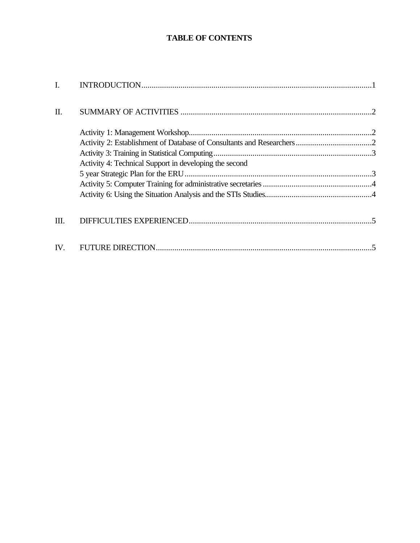# **TABLE OF CONTENTS**

| I.  |                                                        |  |
|-----|--------------------------------------------------------|--|
| II. |                                                        |  |
|     |                                                        |  |
|     |                                                        |  |
|     |                                                        |  |
|     | Activity 4: Technical Support in developing the second |  |
|     |                                                        |  |
|     |                                                        |  |
|     |                                                        |  |
|     |                                                        |  |
| Ш.  |                                                        |  |
| IV. |                                                        |  |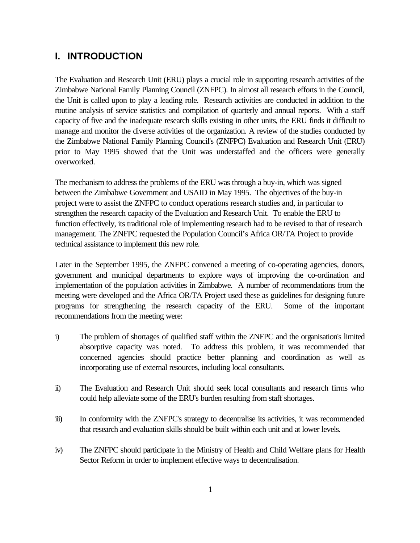# **I. INTRODUCTION**

The Evaluation and Research Unit (ERU) plays a crucial role in supporting research activities of the Zimbabwe National Family Planning Council (ZNFPC). In almost all research efforts in the Council, the Unit is called upon to play a leading role. Research activities are conducted in addition to the routine analysis of service statistics and compilation of quarterly and annual reports. With a staff capacity of five and the inadequate research skills existing in other units, the ERU finds it difficult to manage and monitor the diverse activities of the organization. A review of the studies conducted by the Zimbabwe National Family Planning Council's (ZNFPC) Evaluation and Research Unit (ERU) prior to May 1995 showed that the Unit was understaffed and the officers were generally overworked.

The mechanism to address the problems of the ERU was through a buy-in, which was signed between the Zimbabwe Government and USAID in May 1995. The objectives of the buy-in project were to assist the ZNFPC to conduct operations research studies and, in particular to strengthen the research capacity of the Evaluation and Research Unit. To enable the ERU to function effectively, its traditional role of implementing research had to be revised to that of research management. The ZNFPC requested the Population Council's Africa OR/TA Project to provide technical assistance to implement this new role.

Later in the September 1995, the ZNFPC convened a meeting of co-operating agencies, donors, government and municipal departments to explore ways of improving the co-ordination and implementation of the population activities in Zimbabwe. A number of recommendations from the meeting were developed and the Africa OR/TA Project used these as guidelines for designing future programs for strengthening the research capacity of the ERU. Some of the important recommendations from the meeting were:

- i) The problem of shortages of qualified staff within the ZNFPC and the organisation's limited absorptive capacity was noted. To address this problem, it was recommended that concerned agencies should practice better planning and coordination as well as incorporating use of external resources, including local consultants.
- ii) The Evaluation and Research Unit should seek local consultants and research firms who could help alleviate some of the ERU's burden resulting from staff shortages.
- iii) In conformity with the ZNFPC's strategy to decentralise its activities, it was recommended that research and evaluation skills should be built within each unit and at lower levels.
- iv) The ZNFPC should participate in the Ministry of Health and Child Welfare plans for Health Sector Reform in order to implement effective ways to decentralisation.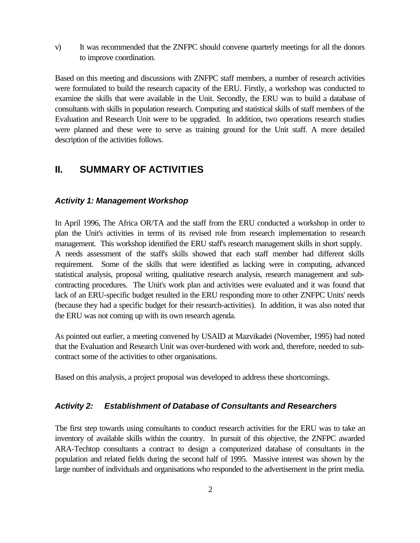v) It was recommended that the ZNFPC should convene quarterly meetings for all the donors to improve coordination.

Based on this meeting and discussions with ZNFPC staff members, a number of research activities were formulated to build the research capacity of the ERU. Firstly, a workshop was conducted to examine the skills that were available in the Unit. Secondly, the ERU was to build a database of consultants with skills in population research. Computing and statistical skills of staff members of the Evaluation and Research Unit were to be upgraded. In addition, two operations research studies were planned and these were to serve as training ground for the Unit staff. A more detailed description of the activities follows.

# **II. SUMMARY OF ACTIVITIES**

#### *Activity 1: Management Workshop*

In April 1996, The Africa OR/TA and the staff from the ERU conducted a workshop in order to plan the Unit's activities in terms of its revised role from research implementation to research management. This workshop identified the ERU staff's research management skills in short supply. A needs assessment of the staff's skills showed that each staff member had different skills requirement. Some of the skills that were identified as lacking were in computing, advanced statistical analysis, proposal writing, qualitative research analysis, research management and subcontracting procedures. The Unit's work plan and activities were evaluated and it was found that lack of an ERU-specific budget resulted in the ERU responding more to other ZNFPC Units' needs (because they had a specific budget for their research-activities). In addition, it was also noted that the ERU was not coming up with its own research agenda.

As pointed out earlier, a meeting convened by USAID at Mazvikadei (November, 1995) had noted that the Evaluation and Research Unit was over-burdened with work and, therefore, needed to subcontract some of the activities to other organisations.

Based on this analysis, a project proposal was developed to address these shortcomings.

#### *Activity 2: Establishment of Database of Consultants and Researchers*

The first step towards using consultants to conduct research activities for the ERU was to take an inventory of available skills within the country. In pursuit of this objective, the ZNFPC awarded ARA-Techtop consultants a contract to design a computerized database of consultants in the population and related fields during the second half of 1995. Massive interest was shown by the large number of individuals and organisations who responded to the advertisement in the print media.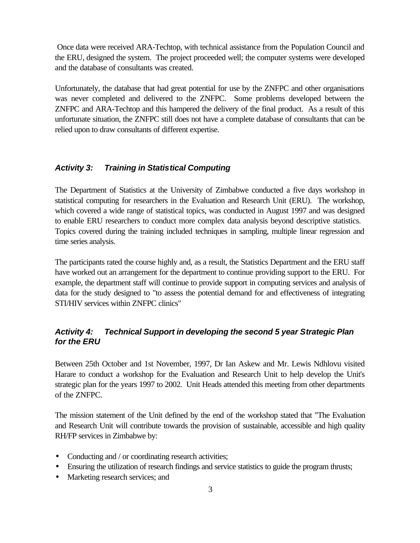Once data were received ARA-Techtop, with technical assistance from the Population Council and the ERU, designed the system. The project proceeded well; the computer systems were developed and the database of consultants was created.

Unfortunately, the database that had great potential for use by the ZNFPC and other organisations was never completed and delivered to the ZNFPC. Some problems developed between the ZNFPC and ARA-Techtop and this hampered the delivery of the final product. As a result of this unfortunate situation, the ZNFPC still does not have a complete database of consultants that can be relied upon to draw consultants of different expertise.

### *Activity 3: Training in Statistical Computing*

The Department of Statistics at the University of Zimbabwe conducted a five days workshop in statistical computing for researchers in the Evaluation and Research Unit (ERU). The workshop, which covered a wide range of statistical topics, was conducted in August 1997 and was designed to enable ERU researchers to conduct more complex data analysis beyond descriptive statistics. Topics covered during the training included techniques in sampling, multiple linear regression and time series analysis.

The participants rated the course highly and, as a result, the Statistics Department and the ERU staff have worked out an arrangement for the department to continue providing support to the ERU. For example, the department staff will continue to provide support in computing services and analysis of data for the study designed to "to assess the potential demand for and effectiveness of integrating STI/HIV services within ZNFPC clinics"

### *Activity 4: Technical Support in developing the second 5 year Strategic Plan for the ERU*

Between 25th October and 1st November, 1997, Dr Ian Askew and Mr. Lewis Ndhlovu visited Harare to conduct a workshop for the Evaluation and Research Unit to help develop the Unit's strategic plan for the years 1997 to 2002. Unit Heads attended this meeting from other departments of the ZNFPC.

The mission statement of the Unit defined by the end of the workshop stated that "The Evaluation and Research Unit will contribute towards the provision of sustainable, accessible and high quality RH/FP services in Zimbabwe by:

- Conducting and / or coordinating research activities;
- Ensuring the utilization of research findings and service statistics to guide the program thrusts;
- Marketing research services; and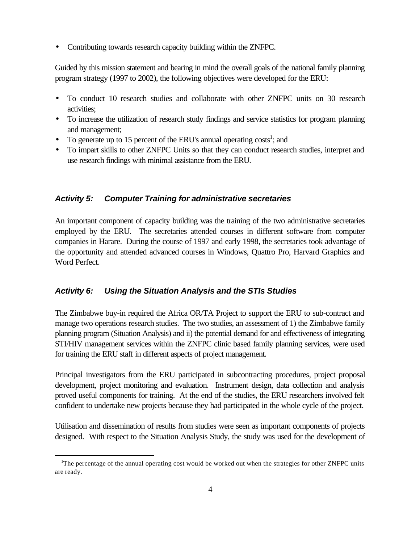• Contributing towards research capacity building within the ZNFPC.

Guided by this mission statement and bearing in mind the overall goals of the national family planning program strategy (1997 to 2002), the following objectives were developed for the ERU:

- To conduct 10 research studies and collaborate with other ZNFPC units on 30 research activities;
- To increase the utilization of research study findings and service statistics for program planning and management;
- To generate up to 15 percent of the ERU's annual operating  $costs^1$ ; and
- To impart skills to other ZNFPC Units so that they can conduct research studies, interpret and use research findings with minimal assistance from the ERU.

### *Activity 5: Computer Training for administrative secretaries*

An important component of capacity building was the training of the two administrative secretaries employed by the ERU. The secretaries attended courses in different software from computer companies in Harare. During the course of 1997 and early 1998, the secretaries took advantage of the opportunity and attended advanced courses in Windows, Quattro Pro, Harvard Graphics and Word Perfect.

## *Activity 6: Using the Situation Analysis and the STIs Studies*

i

The Zimbabwe buy-in required the Africa OR/TA Project to support the ERU to sub-contract and manage two operations research studies. The two studies, an assessment of 1) the Zimbabwe family planning program (Situation Analysis) and ii) the potential demand for and effectiveness of integrating STI/HIV management services within the ZNFPC clinic based family planning services, were used for training the ERU staff in different aspects of project management.

Principal investigators from the ERU participated in subcontracting procedures, project proposal development, project monitoring and evaluation. Instrument design, data collection and analysis proved useful components for training. At the end of the studies, the ERU researchers involved felt confident to undertake new projects because they had participated in the whole cycle of the project.

Utilisation and dissemination of results from studies were seen as important components of projects designed. With respect to the Situation Analysis Study, the study was used for the development of

<sup>&</sup>lt;sup>1</sup>The percentage of the annual operating cost would be worked out when the strategies for other ZNFPC units are ready.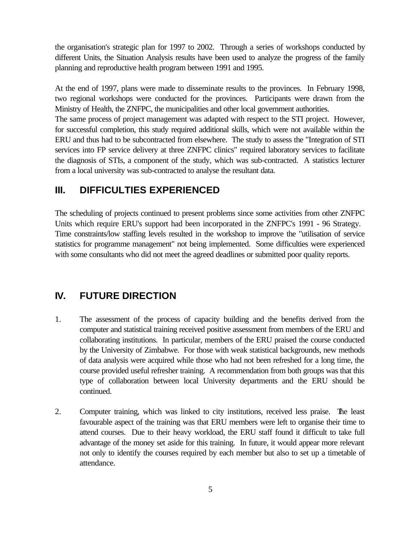the organisation's strategic plan for 1997 to 2002. Through a series of workshops conducted by different Units, the Situation Analysis results have been used to analyze the progress of the family planning and reproductive health program between 1991 and 1995.

At the end of 1997, plans were made to disseminate results to the provinces. In February 1998, two regional workshops were conducted for the provinces. Participants were drawn from the Ministry of Health, the ZNFPC, the municipalities and other local government authorities.

The same process of project management was adapted with respect to the STI project. However, for successful completion, this study required additional skills, which were not available within the ERU and thus had to be subcontracted from elsewhere. The study to assess the "Integration of STI services into FP service delivery at three ZNFPC clinics" required laboratory services to facilitate the diagnosis of STIs, a component of the study, which was sub-contracted. A statistics lecturer from a local university was sub-contracted to analyse the resultant data.

# **III. DIFFICULTIES EXPERIENCED**

The scheduling of projects continued to present problems since some activities from other ZNFPC Units which require ERU's support had been incorporated in the ZNFPC's 1991 - 96 Strategy. Time constraints/low staffing levels resulted in the workshop to improve the "utilisation of service statistics for programme management" not being implemented. Some difficulties were experienced with some consultants who did not meet the agreed deadlines or submitted poor quality reports.

# **IV. FUTURE DIRECTION**

- 1. The assessment of the process of capacity building and the benefits derived from the computer and statistical training received positive assessment from members of the ERU and collaborating institutions. In particular, members of the ERU praised the course conducted by the University of Zimbabwe. For those with weak statistical backgrounds, new methods of data analysis were acquired while those who had not been refreshed for a long time, the course provided useful refresher training. A recommendation from both groups was that this type of collaboration between local University departments and the ERU should be continued.
- 2. Computer training, which was linked to city institutions, received less praise. The least favourable aspect of the training was that ERU members were left to organise their time to attend courses. Due to their heavy workload, the ERU staff found it difficult to take full advantage of the money set aside for this training. In future, it would appear more relevant not only to identify the courses required by each member but also to set up a timetable of attendance.